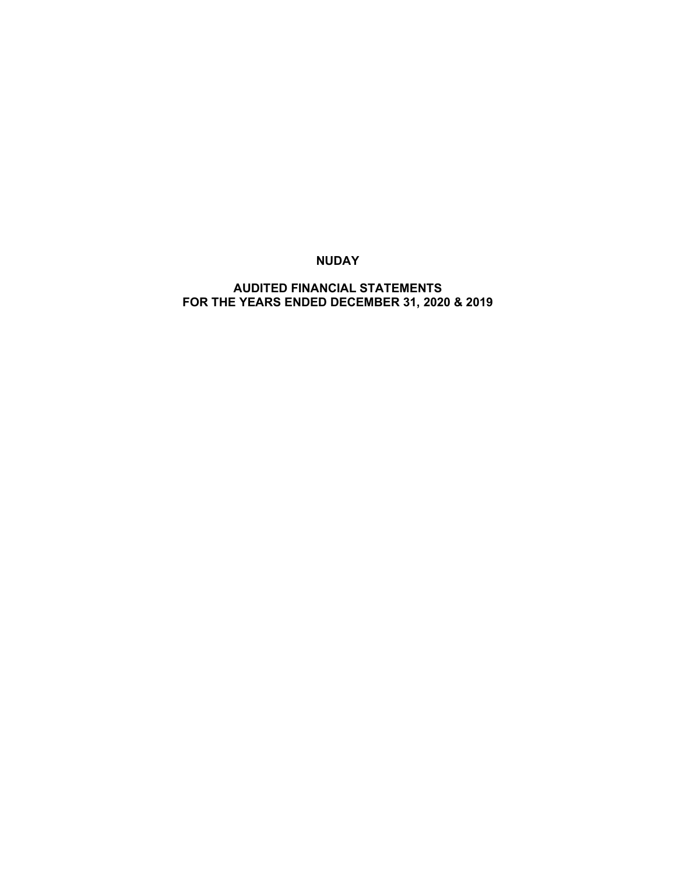# **NUDAY**

### **AUDITED FINANCIAL STATEMENTS FOR THE YEARS ENDED DECEMBER 31, 2020 & 2019**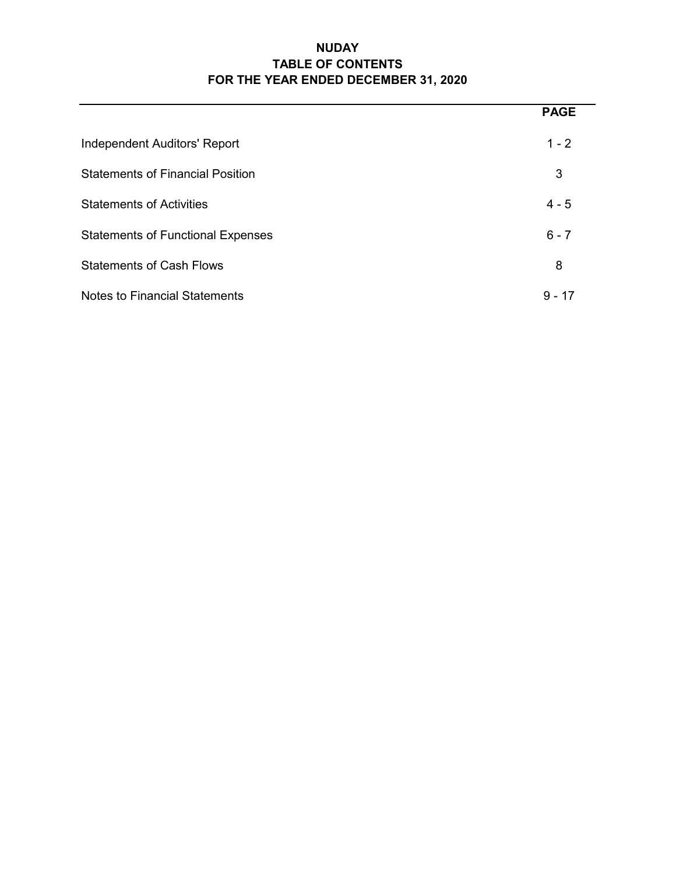# **NUDAY TABLE OF CONTENTS FOR THE YEAR ENDED DECEMBER 31, 2020**

|                                          | <b>PAGE</b> |
|------------------------------------------|-------------|
| Independent Auditors' Report             | $1 - 2$     |
| <b>Statements of Financial Position</b>  | 3           |
| <b>Statements of Activities</b>          | $4 - 5$     |
| <b>Statements of Functional Expenses</b> | $6 - 7$     |
| <b>Statements of Cash Flows</b>          | 8           |
| Notes to Financial Statements            | $9 - 17$    |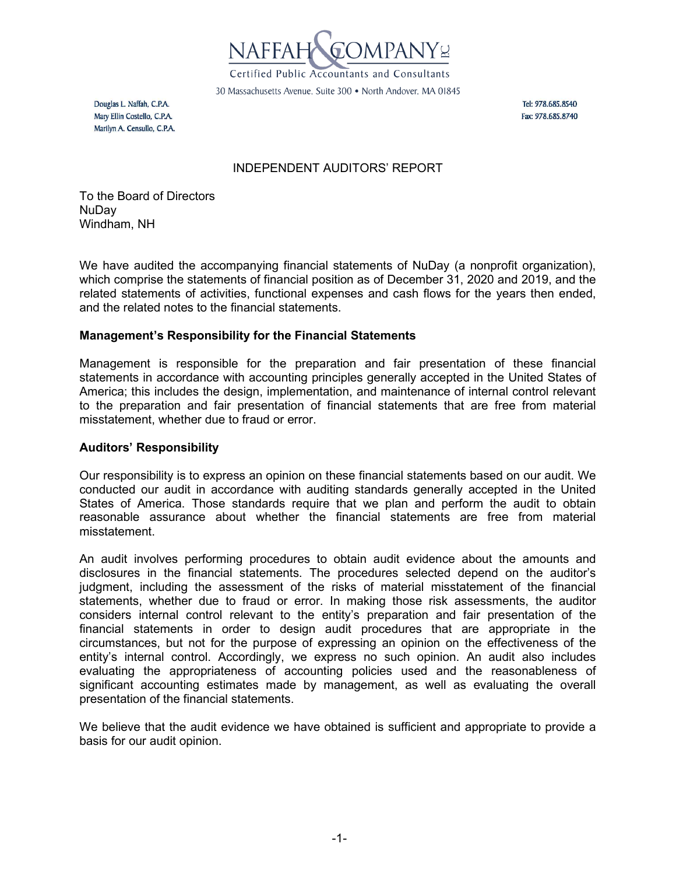

Certified Public Accountants and Consultants 30 Massachusetts Avenue, Suite 300 · North Andover, MA 01845

Douglas L. Naffah, C.P.A. Mary Ellin Costello, C.P.A. Marilyn A. Censullo, C.P.A.

Tel: 978 685 8540 Fax: 978.685.8740

## INDEPENDENT AUDITORS' REPORT

To the Board of Directors NuDay Windham, NH

We have audited the accompanying financial statements of NuDay (a nonprofit organization), which comprise the statements of financial position as of December 31, 2020 and 2019, and the related statements of activities, functional expenses and cash flows for the years then ended, and the related notes to the financial statements.

### **Management's Responsibility for the Financial Statements**

Management is responsible for the preparation and fair presentation of these financial statements in accordance with accounting principles generally accepted in the United States of America; this includes the design, implementation, and maintenance of internal control relevant to the preparation and fair presentation of financial statements that are free from material misstatement, whether due to fraud or error.

#### **Auditors' Responsibility**

Our responsibility is to express an opinion on these financial statements based on our audit. We conducted our audit in accordance with auditing standards generally accepted in the United States of America. Those standards require that we plan and perform the audit to obtain reasonable assurance about whether the financial statements are free from material misstatement.

An audit involves performing procedures to obtain audit evidence about the amounts and disclosures in the financial statements. The procedures selected depend on the auditor's judgment, including the assessment of the risks of material misstatement of the financial statements, whether due to fraud or error. In making those risk assessments, the auditor considers internal control relevant to the entity's preparation and fair presentation of the financial statements in order to design audit procedures that are appropriate in the circumstances, but not for the purpose of expressing an opinion on the effectiveness of the entity's internal control. Accordingly, we express no such opinion. An audit also includes evaluating the appropriateness of accounting policies used and the reasonableness of significant accounting estimates made by management, as well as evaluating the overall presentation of the financial statements.

We believe that the audit evidence we have obtained is sufficient and appropriate to provide a basis for our audit opinion.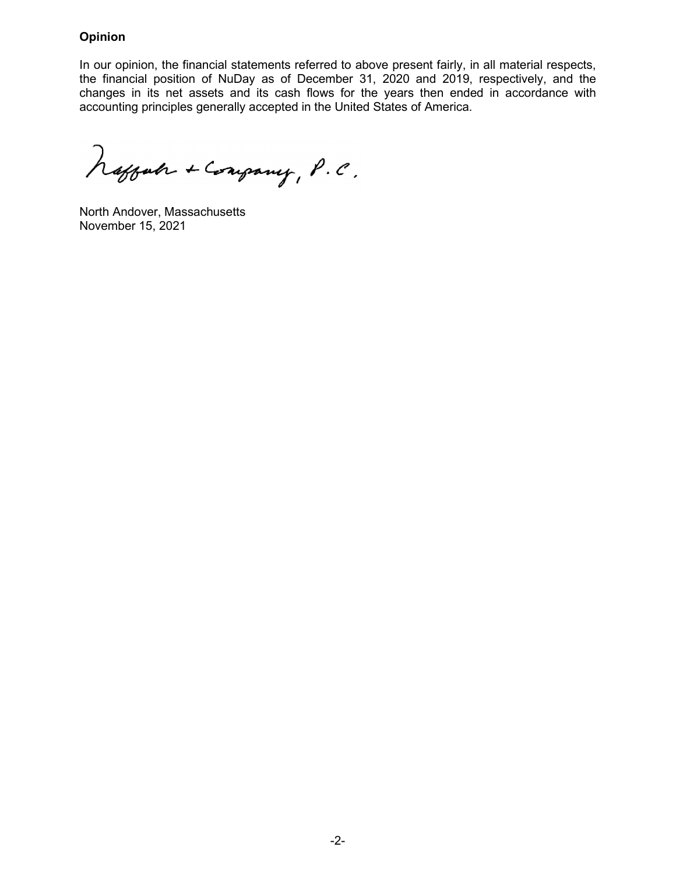## **Opinion**

In our opinion, the financial statements referred to above present fairly, in all material respects, the financial position of NuDay as of December 31, 2020 and 2019, respectively, and the changes in its net assets and its cash flows for the years then ended in accordance with accounting principles generally accepted in the United States of America.

Kayouh + Company, P.C.

North Andover, Massachusetts November 15, 2021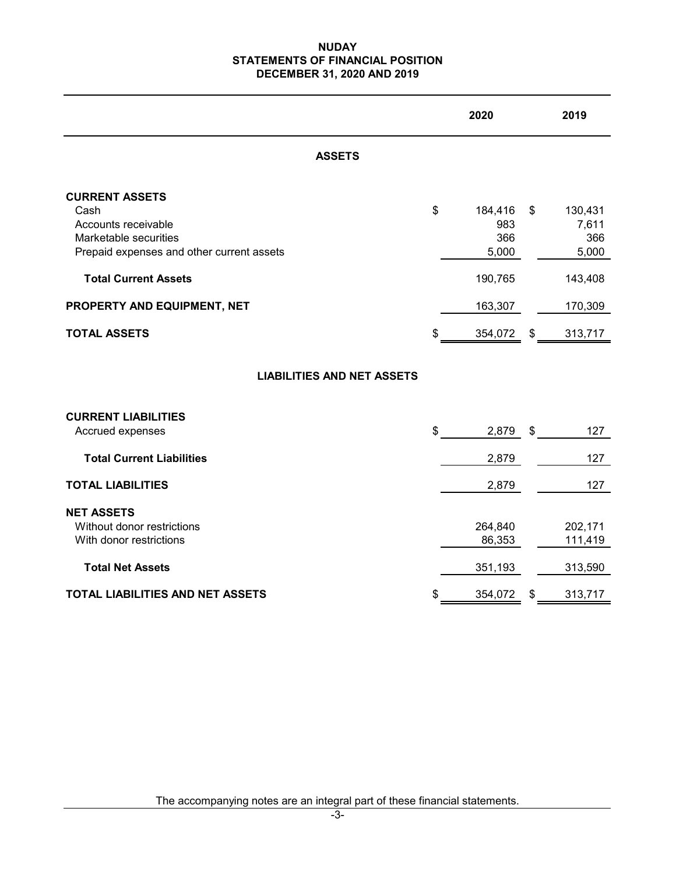### **NUDAY STATEMENTS OF FINANCIAL POSITION DECEMBER 31, 2020 AND 2019**

|                                                                                                                                                           | 2020                                            | 2019                                              |
|-----------------------------------------------------------------------------------------------------------------------------------------------------------|-------------------------------------------------|---------------------------------------------------|
| <b>ASSETS</b>                                                                                                                                             |                                                 |                                                   |
| <b>CURRENT ASSETS</b><br>Cash<br>Accounts receivable<br>Marketable securities<br>Prepaid expenses and other current assets<br><b>Total Current Assets</b> | \$<br>184,416<br>983<br>366<br>5,000<br>190,765 | \$<br>130,431<br>7,611<br>366<br>5,000<br>143,408 |
| PROPERTY AND EQUIPMENT, NET                                                                                                                               | 163,307                                         | 170,309                                           |
| <b>TOTAL ASSETS</b>                                                                                                                                       | 354,072                                         | \$<br>313,717                                     |
| <b>LIABILITIES AND NET ASSETS</b>                                                                                                                         |                                                 |                                                   |
| <b>CURRENT LIABILITIES</b><br>Accrued expenses                                                                                                            | \$<br>2,879                                     | \$<br>127                                         |
| <b>Total Current Liabilities</b>                                                                                                                          | 2,879                                           | 127                                               |
| <b>TOTAL LIABILITIES</b>                                                                                                                                  | 2,879                                           | 127                                               |
| <b>NET ASSETS</b><br>Without donor restrictions<br>With donor restrictions                                                                                | 264,840<br>86,353                               | 202,171<br>111,419                                |
| <b>Total Net Assets</b>                                                                                                                                   | 351,193                                         | 313,590                                           |
| TOTAL LIABILITIES AND NET ASSETS                                                                                                                          | 354,072                                         | \$<br>313,717                                     |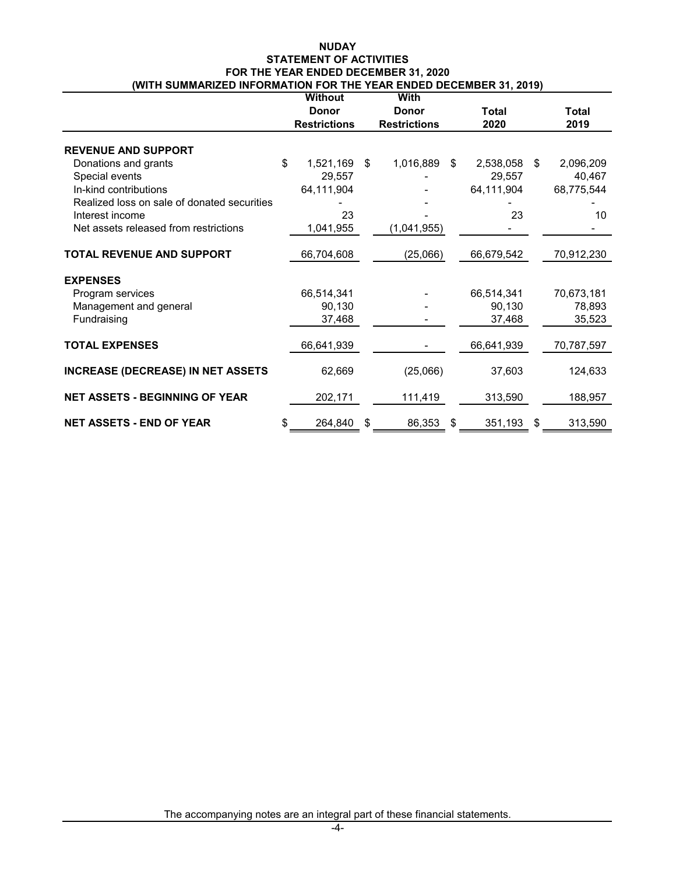#### **NUDAY STATEMENT OF ACTIVITIES FOR THE YEAR ENDED DECEMBER 31, 2020 (WITH SUMMARIZED INFORMATION FOR THE YEAR ENDED DECEMBER 31, 2019)**

|                                             | <b>Without</b>      | <b>With</b>         |                 |                 |
|---------------------------------------------|---------------------|---------------------|-----------------|-----------------|
|                                             | <b>Donor</b>        | <b>Donor</b>        | <b>Total</b>    | <b>Total</b>    |
|                                             | <b>Restrictions</b> | <b>Restrictions</b> | 2020            | 2019            |
|                                             |                     |                     |                 |                 |
| <b>REVENUE AND SUPPORT</b>                  |                     |                     |                 |                 |
| Donations and grants                        | \$<br>1,521,169     | \$<br>1,016,889     | \$<br>2,538,058 | \$<br>2,096,209 |
| Special events                              | 29,557              |                     | 29,557          | 40,467          |
| In-kind contributions                       | 64,111,904          |                     | 64,111,904      | 68,775,544      |
| Realized loss on sale of donated securities |                     |                     |                 |                 |
| Interest income                             | 23                  |                     | 23              | 10              |
| Net assets released from restrictions       | 1,041,955           | (1,041,955)         |                 |                 |
|                                             |                     |                     |                 |                 |
| <b>TOTAL REVENUE AND SUPPORT</b>            | 66,704,608          | (25,066)            | 66,679,542      | 70,912,230      |
| <b>EXPENSES</b>                             |                     |                     |                 |                 |
| Program services                            | 66,514,341          |                     | 66,514,341      | 70,673,181      |
| Management and general                      | 90,130              |                     | 90,130          | 78,893          |
| Fundraising                                 | 37,468              |                     | 37,468          | 35,523          |
|                                             |                     |                     |                 |                 |
| <b>TOTAL EXPENSES</b>                       | 66,641,939          |                     | 66,641,939      | 70,787,597      |
| <b>INCREASE (DECREASE) IN NET ASSETS</b>    | 62,669              | (25,066)            | 37,603          | 124,633         |
|                                             |                     |                     |                 |                 |
| <b>NET ASSETS - BEGINNING OF YEAR</b>       | 202,171             | 111,419             | 313,590         | 188,957         |
| <b>NET ASSETS - END OF YEAR</b>             | \$<br>264,840       | \$<br>86,353        | \$<br>351,193   | \$<br>313,590   |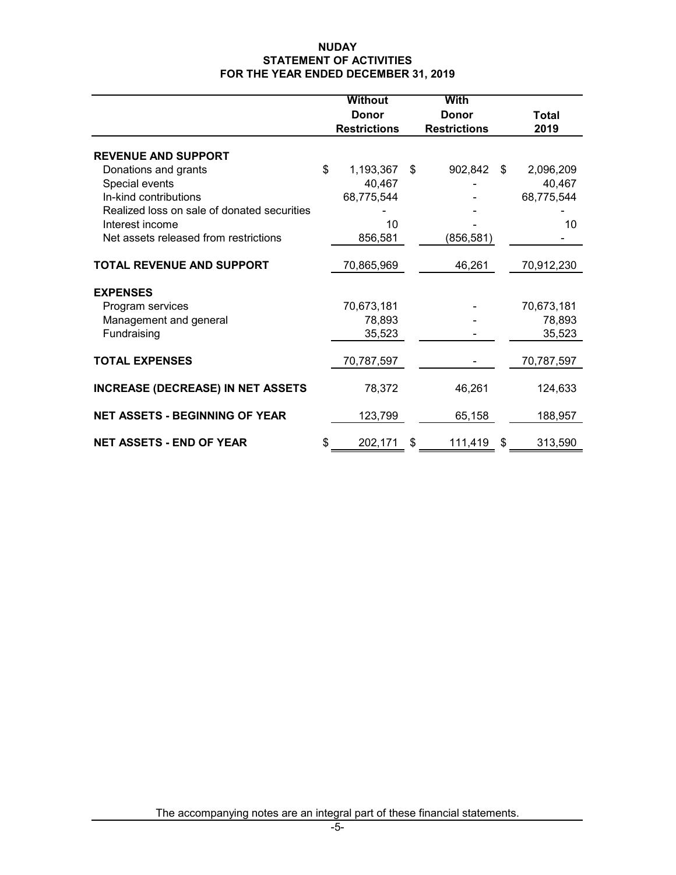### **NUDAY STATEMENT OF ACTIVITIES FOR THE YEAR ENDED DECEMBER 31, 2019**

|                                             | <b>Without</b>      | <b>With</b>         |                 |
|---------------------------------------------|---------------------|---------------------|-----------------|
|                                             | <b>Donor</b>        | Donor               | <b>Total</b>    |
|                                             | <b>Restrictions</b> | <b>Restrictions</b> | 2019            |
| <b>REVENUE AND SUPPORT</b>                  |                     |                     |                 |
|                                             | \$<br>1,193,367     | \$<br>902,842       | \$<br>2,096,209 |
| Donations and grants                        |                     |                     |                 |
| Special events                              | 40,467              |                     | 40,467          |
| In-kind contributions                       | 68,775,544          |                     | 68,775,544      |
| Realized loss on sale of donated securities |                     |                     |                 |
| Interest income                             | 10                  |                     | 10              |
| Net assets released from restrictions       | 856,581             | (856,581)           |                 |
| <b>TOTAL REVENUE AND SUPPORT</b>            | 70,865,969          | 46,261              | 70,912,230      |
| <b>EXPENSES</b>                             |                     |                     |                 |
| Program services                            | 70,673,181          |                     | 70,673,181      |
| Management and general                      | 78,893              |                     | 78,893          |
| Fundraising                                 | 35,523              |                     | 35,523          |
|                                             |                     |                     |                 |
| <b>TOTAL EXPENSES</b>                       | 70,787,597          |                     | 70,787,597      |
| <b>INCREASE (DECREASE) IN NET ASSETS</b>    | 78,372              | 46,261              | 124,633         |
|                                             |                     |                     |                 |
| <b>NET ASSETS - BEGINNING OF YEAR</b>       | 123,799             | 65,158              | 188,957         |
| <b>NET ASSETS - END OF YEAR</b>             | \$<br>202,171       | \$<br>111,419       | \$<br>313,590   |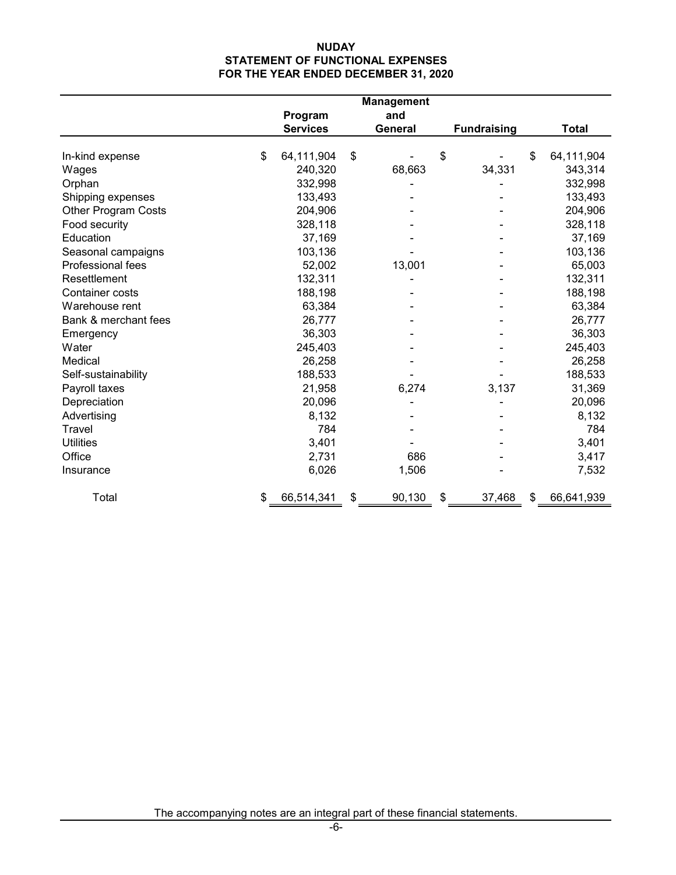### **NUDAY STATEMENT OF FUNCTIONAL EXPENSES FOR THE YEAR ENDED DECEMBER 31, 2020**

|                        |                  | <b>Management</b> |                    |                  |
|------------------------|------------------|-------------------|--------------------|------------------|
|                        | Program          | and               |                    |                  |
|                        | <b>Services</b>  | General           | <b>Fundraising</b> | <b>Total</b>     |
| In-kind expense        | \$<br>64,111,904 | \$                | \$                 | \$<br>64,111,904 |
| Wages                  | 240,320          | 68,663            | 34,331             | 343,314          |
| Orphan                 | 332,998          |                   |                    | 332,998          |
| Shipping expenses      | 133,493          |                   |                    | 133,493          |
| Other Program Costs    | 204,906          |                   |                    | 204,906          |
| Food security          | 328,118          |                   |                    | 328,118          |
| Education              | 37,169           |                   |                    | 37,169           |
| Seasonal campaigns     | 103,136          |                   |                    | 103,136          |
| Professional fees      | 52,002           | 13,001            |                    | 65,003           |
| Resettlement           | 132,311          |                   |                    | 132,311          |
|                        |                  |                   |                    |                  |
| <b>Container costs</b> | 188,198          |                   |                    | 188,198          |
| Warehouse rent         | 63,384           |                   |                    | 63,384           |
| Bank & merchant fees   | 26,777           |                   |                    | 26,777           |
| Emergency              | 36,303           |                   |                    | 36,303           |
| Water                  | 245,403          |                   |                    | 245,403          |
| Medical                | 26,258           |                   |                    | 26,258           |
| Self-sustainability    | 188,533          |                   |                    | 188,533          |
| Payroll taxes          | 21,958           | 6,274             | 3,137              | 31,369           |
| Depreciation           | 20,096           |                   |                    | 20,096           |
| Advertising            | 8,132            |                   |                    | 8,132            |
| Travel                 | 784              |                   |                    | 784              |
| <b>Utilities</b>       | 3,401            |                   |                    | 3,401            |
| Office                 | 2,731            | 686               |                    | 3,417            |
| Insurance              | 6,026            | 1,506             |                    | 7,532            |
| Total                  | \$<br>66,514,341 | \$<br>90,130      | \$<br>37,468       | \$<br>66,641,939 |

The accompanying notes are an integral part of these financial statements.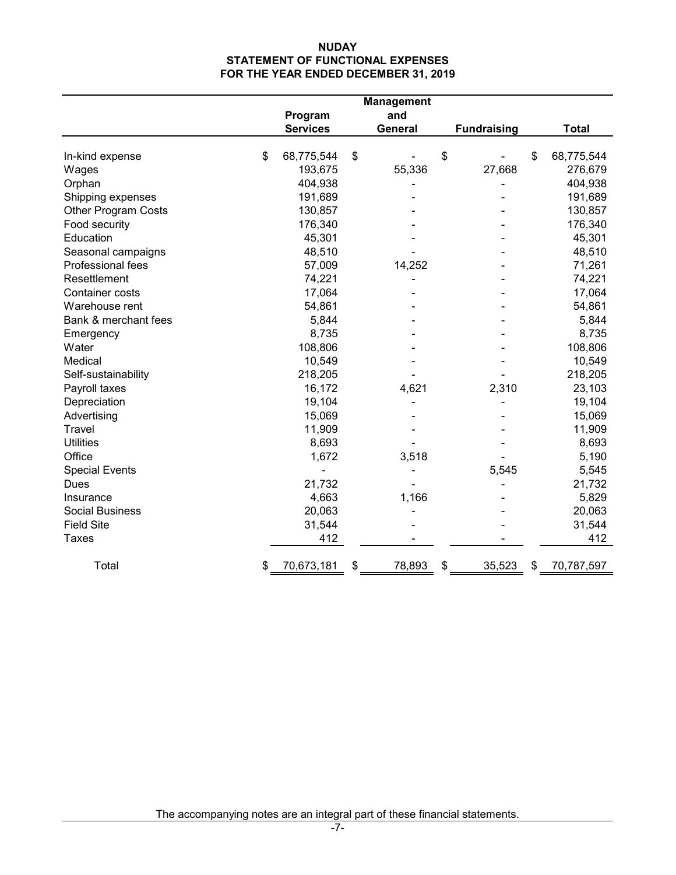### **NUDAY STATEMENT OF FUNCTIONAL EXPENSES FOR THE YEAR ENDED DECEMBER 31, 2019**

|                            |                  | <b>Management</b> |                    |                  |
|----------------------------|------------------|-------------------|--------------------|------------------|
|                            | Program          | and               |                    |                  |
|                            | <b>Services</b>  | General           | <b>Fundraising</b> | <b>Total</b>     |
|                            |                  |                   |                    |                  |
| In-kind expense            | \$<br>68,775,544 | \$                | \$                 | \$<br>68,775,544 |
| Wages                      | 193,675          | 55,336            | 27,668             | 276,679          |
| Orphan                     | 404,938          |                   |                    | 404,938          |
| Shipping expenses          | 191,689          |                   |                    | 191,689          |
| <b>Other Program Costs</b> | 130,857          |                   |                    | 130,857          |
| Food security              | 176,340          |                   |                    | 176,340          |
| Education                  | 45,301           |                   |                    | 45,301           |
| Seasonal campaigns         | 48,510           |                   |                    | 48,510           |
| Professional fees          | 57,009           | 14,252            |                    | 71,261           |
| Resettlement               | 74,221           |                   |                    | 74,221           |
| Container costs            | 17,064           |                   |                    | 17,064           |
| Warehouse rent             | 54,861           |                   |                    | 54,861           |
| Bank & merchant fees       | 5,844            |                   |                    | 5,844            |
| Emergency                  | 8,735            |                   |                    | 8,735            |
| Water                      | 108,806          |                   |                    | 108,806          |
| Medical                    | 10,549           |                   |                    | 10,549           |
| Self-sustainability        | 218,205          |                   |                    | 218,205          |
| Payroll taxes              | 16,172           | 4,621             | 2,310              | 23,103           |
| Depreciation               | 19,104           |                   |                    | 19,104           |
| Advertising                | 15,069           |                   |                    | 15,069           |
| Travel                     | 11,909           |                   |                    | 11,909           |
| <b>Utilities</b>           | 8,693            |                   |                    | 8,693            |
| Office                     | 1,672            | 3,518             |                    | 5,190            |
| <b>Special Events</b>      |                  |                   | 5,545              | 5,545            |
| Dues                       | 21,732           |                   |                    | 21,732           |
| Insurance                  | 4,663            | 1,166             |                    | 5,829            |
| <b>Social Business</b>     | 20,063           |                   |                    | 20,063           |
| <b>Field Site</b>          | 31,544           |                   |                    | 31,544           |
| <b>Taxes</b>               | 412              |                   |                    | 412              |
| Total                      | 70,673,181       | \$<br>78,893      | \$<br>35,523       | \$<br>70,787,597 |

The accompanying notes are an integral part of these financial statements.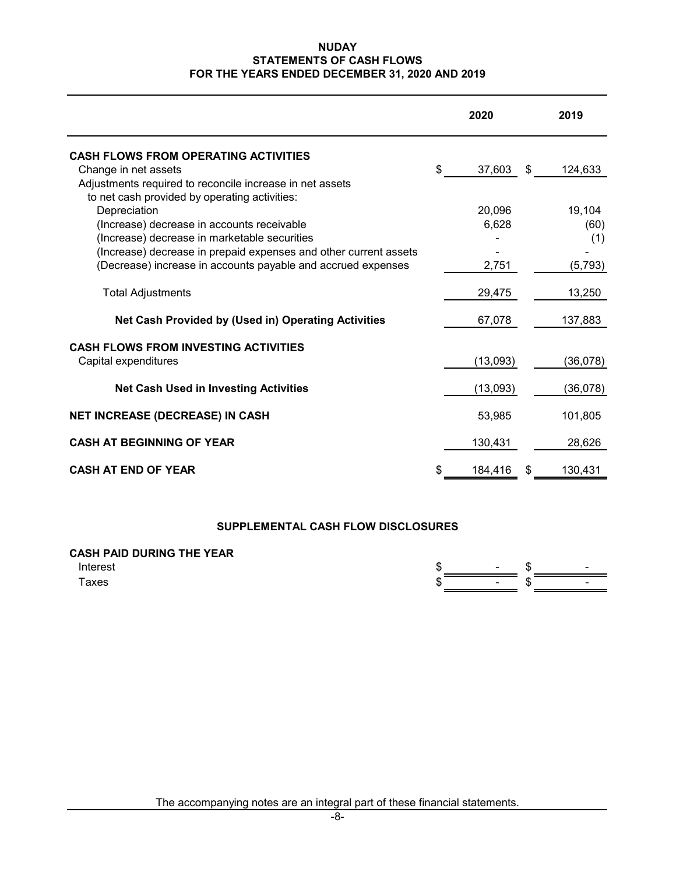#### **NUDAY STATEMENTS OF CASH FLOWS FOR THE YEARS ENDED DECEMBER 31, 2020 AND 2019**

|                                                                  |    | 2020         | 2019     |
|------------------------------------------------------------------|----|--------------|----------|
| <b>CASH FLOWS FROM OPERATING ACTIVITIES</b>                      |    |              |          |
| Change in net assets                                             | \$ | 37,603<br>\$ | 124,633  |
| Adjustments required to reconcile increase in net assets         |    |              |          |
| to net cash provided by operating activities:                    |    |              |          |
| Depreciation                                                     |    | 20,096       | 19,104   |
| (Increase) decrease in accounts receivable                       |    | 6,628        | (60)     |
| (Increase) decrease in marketable securities                     |    |              | (1)      |
| (Increase) decrease in prepaid expenses and other current assets |    |              |          |
| (Decrease) increase in accounts payable and accrued expenses     |    | 2,751        | (5, 793) |
| <b>Total Adjustments</b>                                         |    | 29,475       | 13,250   |
| Net Cash Provided by (Used in) Operating Activities              |    | 67,078       | 137,883  |
| <b>CASH FLOWS FROM INVESTING ACTIVITIES</b>                      |    |              |          |
| Capital expenditures                                             |    | (13,093)     | (36,078) |
| <b>Net Cash Used in Investing Activities</b>                     |    | (13,093)     | (36,078) |
| <b>NET INCREASE (DECREASE) IN CASH</b>                           |    | 53,985       | 101,805  |
| <b>CASH AT BEGINNING OF YEAR</b>                                 |    | 130,431      | 28,626   |
| <b>CASH AT END OF YEAR</b>                                       | S. | 184,416<br>S | 130,431  |

### **SUPPLEMENTAL CASH FLOW DISCLOSURES**

## **CASH PAID DURING THE YEAR**

| - - - - |  |  |
|---------|--|--|
|         |  |  |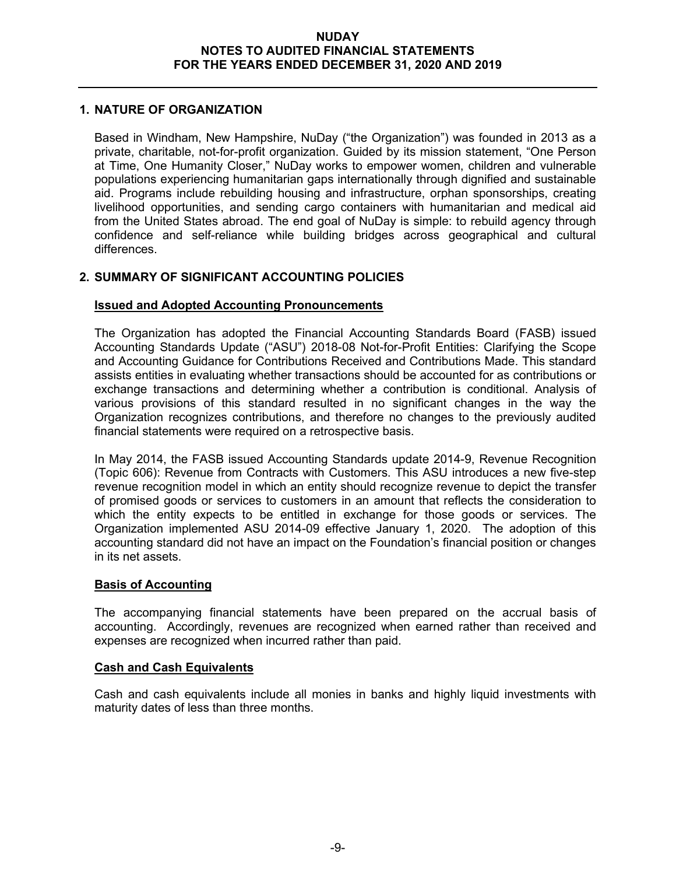## **1. NATURE OF ORGANIZATION**

Based in Windham, New Hampshire, NuDay ("the Organization") was founded in 2013 as a private, charitable, not-for-profit organization. Guided by its mission statement, "One Person at Time, One Humanity Closer," NuDay works to empower women, children and vulnerable populations experiencing humanitarian gaps internationally through dignified and sustainable aid. Programs include rebuilding housing and infrastructure, orphan sponsorships, creating livelihood opportunities, and sending cargo containers with humanitarian and medical aid from the United States abroad. The end goal of NuDay is simple: to rebuild agency through confidence and self-reliance while building bridges across geographical and cultural differences.

## **2. SUMMARY OF SIGNIFICANT ACCOUNTING POLICIES**

#### **Issued and Adopted Accounting Pronouncements**

The Organization has adopted the Financial Accounting Standards Board (FASB) issued Accounting Standards Update ("ASU") 2018-08 Not-for-Profit Entities: Clarifying the Scope and Accounting Guidance for Contributions Received and Contributions Made. This standard assists entities in evaluating whether transactions should be accounted for as contributions or exchange transactions and determining whether a contribution is conditional. Analysis of various provisions of this standard resulted in no significant changes in the way the Organization recognizes contributions, and therefore no changes to the previously audited financial statements were required on a retrospective basis.

In May 2014, the FASB issued Accounting Standards update 2014-9, Revenue Recognition (Topic 606): Revenue from Contracts with Customers. This ASU introduces a new five-step revenue recognition model in which an entity should recognize revenue to depict the transfer of promised goods or services to customers in an amount that reflects the consideration to which the entity expects to be entitled in exchange for those goods or services. The Organization implemented ASU 2014-09 effective January 1, 2020. The adoption of this accounting standard did not have an impact on the Foundation's financial position or changes in its net assets.

#### **Basis of Accounting**

The accompanying financial statements have been prepared on the accrual basis of accounting. Accordingly, revenues are recognized when earned rather than received and expenses are recognized when incurred rather than paid.

#### **Cash and Cash Equivalents**

Cash and cash equivalents include all monies in banks and highly liquid investments with maturity dates of less than three months.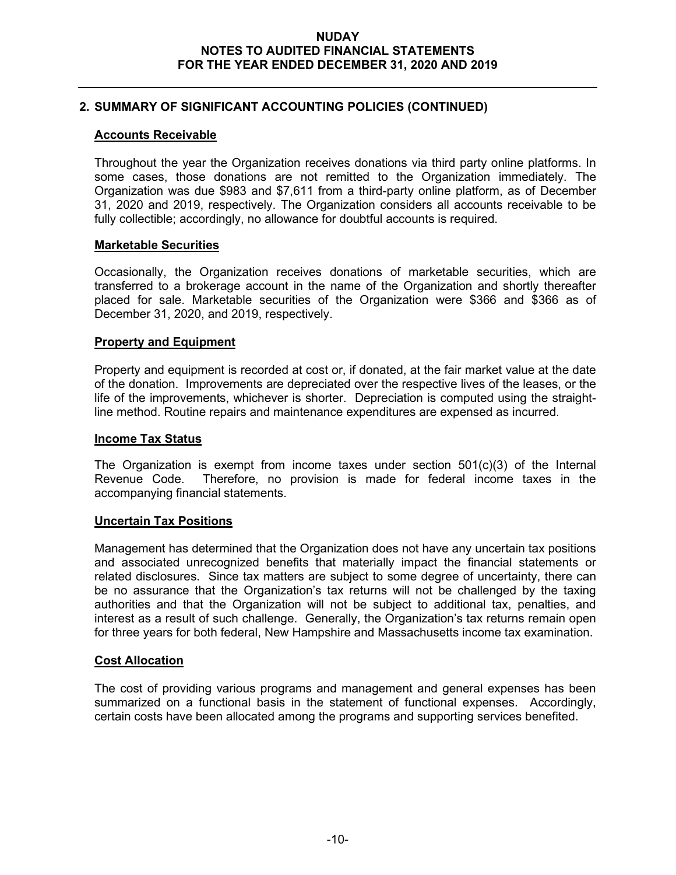## **2. SUMMARY OF SIGNIFICANT ACCOUNTING POLICIES (CONTINUED)**

#### **Accounts Receivable**

Throughout the year the Organization receives donations via third party online platforms. In some cases, those donations are not remitted to the Organization immediately. The Organization was due \$983 and \$7,611 from a third-party online platform, as of December 31, 2020 and 2019, respectively. The Organization considers all accounts receivable to be fully collectible; accordingly, no allowance for doubtful accounts is required.

#### **Marketable Securities**

Occasionally, the Organization receives donations of marketable securities, which are transferred to a brokerage account in the name of the Organization and shortly thereafter placed for sale. Marketable securities of the Organization were \$366 and \$366 as of December 31, 2020, and 2019, respectively.

#### **Property and Equipment**

Property and equipment is recorded at cost or, if donated, at the fair market value at the date of the donation. Improvements are depreciated over the respective lives of the leases, or the life of the improvements, whichever is shorter. Depreciation is computed using the straightline method. Routine repairs and maintenance expenditures are expensed as incurred.

#### **Income Tax Status**

The Organization is exempt from income taxes under section  $501(c)(3)$  of the Internal Revenue Code. Therefore, no provision is made for federal income taxes in the accompanying financial statements.

#### **Uncertain Tax Positions**

Management has determined that the Organization does not have any uncertain tax positions and associated unrecognized benefits that materially impact the financial statements or related disclosures. Since tax matters are subject to some degree of uncertainty, there can be no assurance that the Organization's tax returns will not be challenged by the taxing authorities and that the Organization will not be subject to additional tax, penalties, and interest as a result of such challenge. Generally, the Organization's tax returns remain open for three years for both federal, New Hampshire and Massachusetts income tax examination.

#### **Cost Allocation**

The cost of providing various programs and management and general expenses has been summarized on a functional basis in the statement of functional expenses. Accordingly, certain costs have been allocated among the programs and supporting services benefited.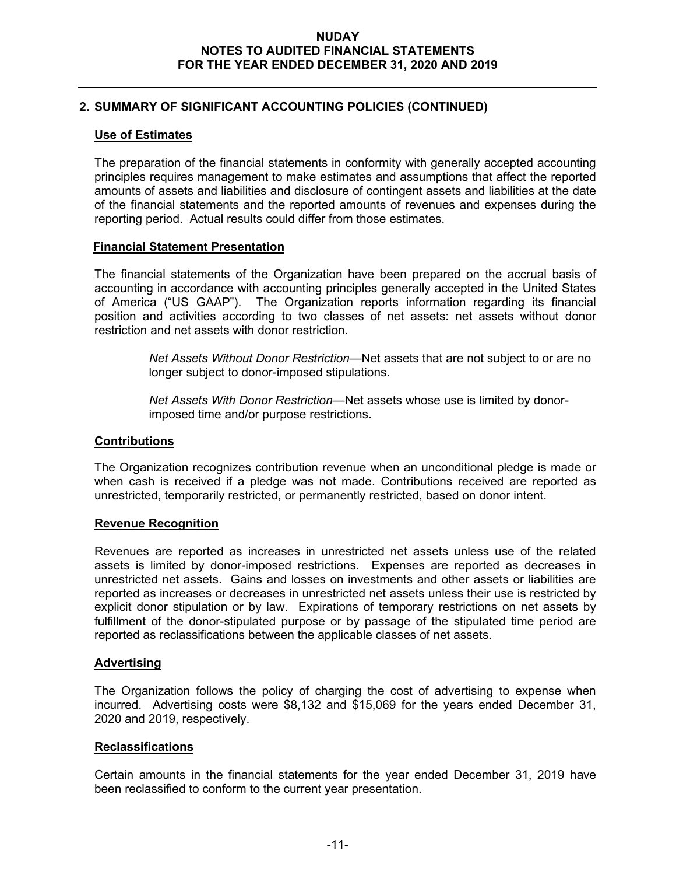## **2. SUMMARY OF SIGNIFICANT ACCOUNTING POLICIES (CONTINUED)**

## **Use of Estimates**

The preparation of the financial statements in conformity with generally accepted accounting principles requires management to make estimates and assumptions that affect the reported amounts of assets and liabilities and disclosure of contingent assets and liabilities at the date of the financial statements and the reported amounts of revenues and expenses during the reporting period. Actual results could differ from those estimates.

#### **Financial Statement Presentation**

The financial statements of the Organization have been prepared on the accrual basis of accounting in accordance with accounting principles generally accepted in the United States of America ("US GAAP"). The Organization reports information regarding its financial position and activities according to two classes of net assets: net assets without donor restriction and net assets with donor restriction.

> *Net Assets Without Donor Restriction*—Net assets that are not subject to or are no longer subject to donor-imposed stipulations.

*Net Assets With Donor Restriction*—Net assets whose use is limited by donorimposed time and/or purpose restrictions.

### **Contributions**

The Organization recognizes contribution revenue when an unconditional pledge is made or when cash is received if a pledge was not made. Contributions received are reported as unrestricted, temporarily restricted, or permanently restricted, based on donor intent.

#### **Revenue Recognition**

Revenues are reported as increases in unrestricted net assets unless use of the related assets is limited by donor-imposed restrictions. Expenses are reported as decreases in unrestricted net assets. Gains and losses on investments and other assets or liabilities are reported as increases or decreases in unrestricted net assets unless their use is restricted by explicit donor stipulation or by law. Expirations of temporary restrictions on net assets by fulfillment of the donor-stipulated purpose or by passage of the stipulated time period are reported as reclassifications between the applicable classes of net assets.

#### **Advertising**

The Organization follows the policy of charging the cost of advertising to expense when incurred. Advertising costs were \$8,132 and \$15,069 for the years ended December 31, 2020 and 2019, respectively.

#### **Reclassifications**

Certain amounts in the financial statements for the year ended December 31, 2019 have been reclassified to conform to the current year presentation.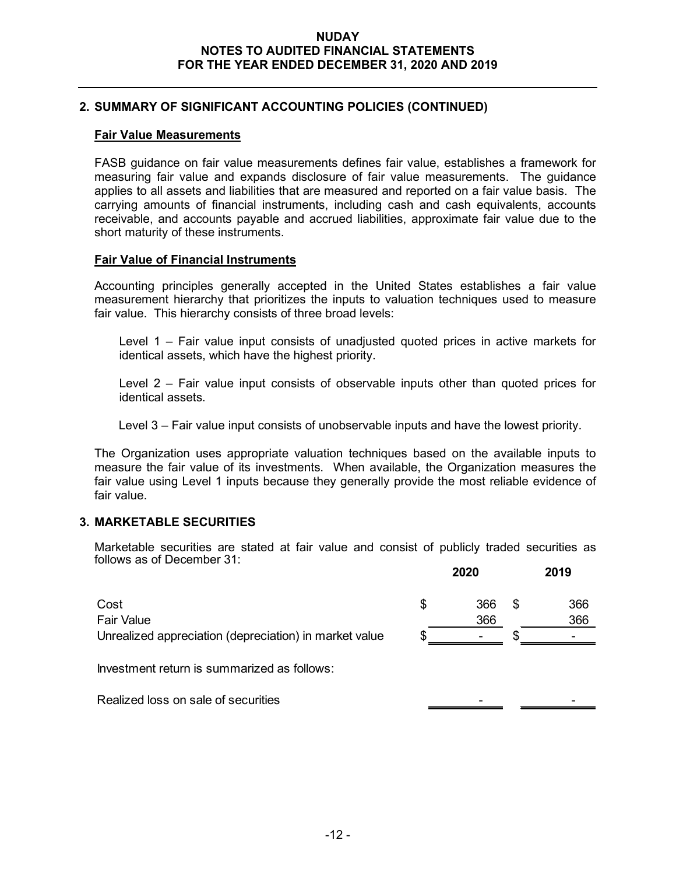## **2. SUMMARY OF SIGNIFICANT ACCOUNTING POLICIES (CONTINUED)**

#### **Fair Value Measurements**

FASB guidance on fair value measurements defines fair value, establishes a framework for measuring fair value and expands disclosure of fair value measurements. The guidance applies to all assets and liabilities that are measured and reported on a fair value basis. The carrying amounts of financial instruments, including cash and cash equivalents, accounts receivable, and accounts payable and accrued liabilities, approximate fair value due to the short maturity of these instruments.

#### **Fair Value of Financial Instruments**

Accounting principles generally accepted in the United States establishes a fair value measurement hierarchy that prioritizes the inputs to valuation techniques used to measure fair value. This hierarchy consists of three broad levels:

Level 1 – Fair value input consists of unadjusted quoted prices in active markets for identical assets, which have the highest priority.

Level 2 – Fair value input consists of observable inputs other than quoted prices for identical assets.

Level 3 – Fair value input consists of unobservable inputs and have the lowest priority.

The Organization uses appropriate valuation techniques based on the available inputs to measure the fair value of its investments. When available, the Organization measures the fair value using Level 1 inputs because they generally provide the most reliable evidence of fair value.

#### **3. MARKETABLE SECURITIES**

Marketable securities are stated at fair value and consist of publicly traded securities as follows as of December 31:

|                                                        | 2020                     | 2019 |
|--------------------------------------------------------|--------------------------|------|
| Cost                                                   | 366                      | 366  |
| <b>Fair Value</b>                                      | 366                      | 366  |
| Unrealized appreciation (depreciation) in market value | $\overline{\phantom{0}}$ |      |
|                                                        |                          |      |

Investment return is summarized as follows:

Realized loss on sale of securities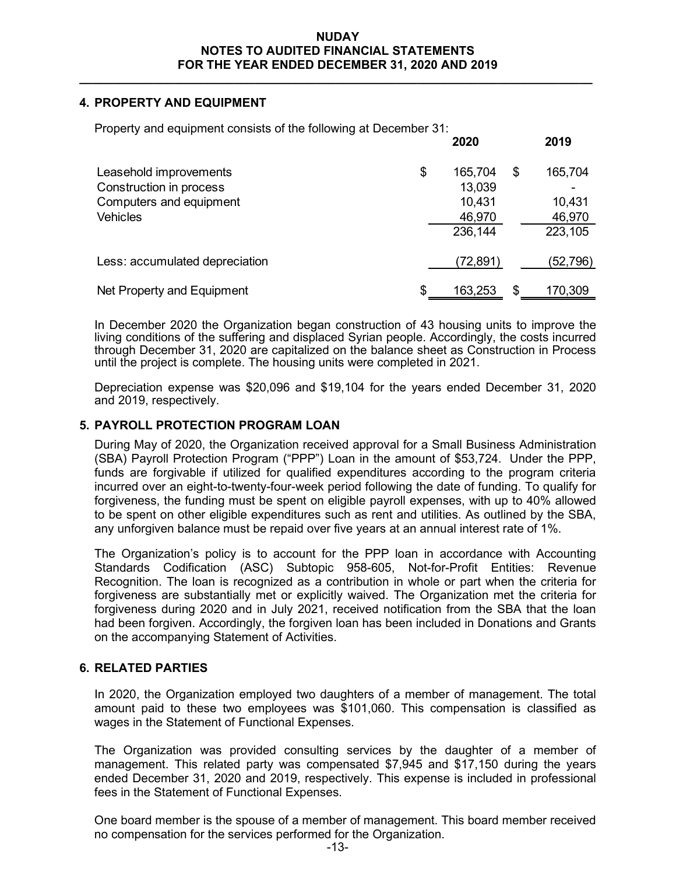**\_\_\_\_\_\_\_\_\_\_\_\_\_\_\_\_\_\_\_\_\_\_\_\_\_\_\_\_\_\_\_\_\_\_\_\_\_\_\_\_\_\_\_\_\_\_\_\_\_\_\_\_\_\_\_\_\_\_\_\_\_\_\_\_\_\_\_\_\_\_\_\_\_\_\_\_**

### **4. PROPERTY AND EQUIPMENT**

Property and equipment consists of the following at December 31:

|                                                                                                 | 2020                              | 2019                    |
|-------------------------------------------------------------------------------------------------|-----------------------------------|-------------------------|
| Leasehold improvements<br>Construction in process<br>Computers and equipment<br><b>Vehicles</b> | \$<br>165,704<br>13,039<br>10,431 | \$<br>165,704<br>10,431 |
|                                                                                                 | 46,970<br>236,144                 | 46,970<br>223,105       |
| Less: accumulated depreciation                                                                  | (72,891)                          | (52,796)                |
| Net Property and Equipment                                                                      | 163,253                           | \$<br>170,309           |

In December 2020 the Organization began construction of 43 housing units to improve the living conditions of the suffering and displaced Syrian people. Accordingly, the costs incurred through December 31, 2020 are capitalized on the balance sheet as Construction in Process until the project is complete. The housing units were completed in 2021.

Depreciation expense was \$20,096 and \$19,104 for the years ended December 31, 2020 and 2019, respectively.

### **5. PAYROLL PROTECTION PROGRAM LOAN**

During May of 2020, the Organization received approval for a Small Business Administration (SBA) Payroll Protection Program ("PPP") Loan in the amount of \$53,724. Under the PPP, funds are forgivable if utilized for qualified expenditures according to the program criteria incurred over an eight-to-twenty-four-week period following the date of funding. To qualify for forgiveness, the funding must be spent on eligible payroll expenses, with up to 40% allowed to be spent on other eligible expenditures such as rent and utilities. As outlined by the SBA, any unforgiven balance must be repaid over five years at an annual interest rate of 1%.

The Organization's policy is to account for the PPP loan in accordance with Accounting Standards Codification (ASC) Subtopic 958-605, Not-for-Profit Entities: Revenue Recognition. The loan is recognized as a contribution in whole or part when the criteria for forgiveness are substantially met or explicitly waived. The Organization met the criteria for forgiveness during 2020 and in July 2021, received notification from the SBA that the loan had been forgiven. Accordingly, the forgiven loan has been included in Donations and Grants on the accompanying Statement of Activities.

## **6. RELATED PARTIES**

In 2020, the Organization employed two daughters of a member of management. The total amount paid to these two employees was \$101,060. This compensation is classified as wages in the Statement of Functional Expenses.

The Organization was provided consulting services by the daughter of a member of management. This related party was compensated \$7,945 and \$17,150 during the years ended December 31, 2020 and 2019, respectively. This expense is included in professional fees in the Statement of Functional Expenses.

One board member is the spouse of a member of management. This board member received no compensation for the services performed for the Organization.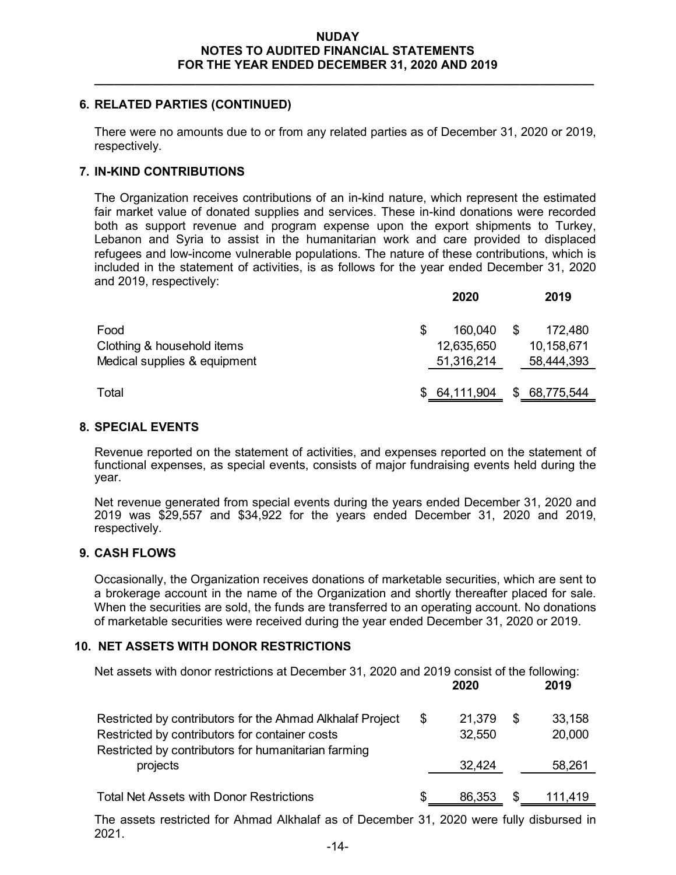**\_\_\_\_\_\_\_\_\_\_\_\_\_\_\_\_\_\_\_\_\_\_\_\_\_\_\_\_\_\_\_\_\_\_\_\_\_\_\_\_\_\_\_\_\_\_\_\_\_\_\_\_\_\_\_\_\_\_\_\_\_\_\_\_\_\_\_\_\_\_\_\_\_\_**

## **6. RELATED PARTIES (CONTINUED)**

There were no amounts due to or from any related parties as of December 31, 2020 or 2019, respectively.

## **7. IN-KIND CONTRIBUTIONS**

The Organization receives contributions of an in-kind nature, which represent the estimated fair market value of donated supplies and services. These in-kind donations were recorded both as support revenue and program expense upon the export shipments to Turkey, Lebanon and Syria to assist in the humanitarian work and care provided to displaced refugees and low-income vulnerable populations. The nature of these contributions, which is included in the statement of activities, is as follows for the year ended December 31, 2020 and 2019, respectively:

|                              |   | 2020       |    | 2019       |
|------------------------------|---|------------|----|------------|
| Food                         | S | 160,040    | S  | 172,480    |
| Clothing & household items   |   | 12,635,650 |    | 10,158,671 |
| Medical supplies & equipment |   | 51,316,214 |    | 58,444,393 |
| Total                        |   | 64,111,904 | \$ | 68,775,544 |

### **8. SPECIAL EVENTS**

Revenue reported on the statement of activities, and expenses reported on the statement of functional expenses, as special events, consists of major fundraising events held during the year.

Net revenue generated from special events during the years ended December 31, 2020 and 2019 was \$29,557 and \$34,922 for the years ended December 31, 2020 and 2019, respectively.

## **9. CASH FLOWS**

Occasionally, the Organization receives donations of marketable securities, which are sent to a brokerage account in the name of the Organization and shortly thereafter placed for sale. When the securities are sold, the funds are transferred to an operating account. No donations of marketable securities were received during the year ended December 31, 2020 or 2019.

## **10. NET ASSETS WITH DONOR RESTRICTIONS**

| Net assets with donor restrictions at December 31, 2020 and 2019 consist of the following:            | 2020         |     | 2019    |  |  |
|-------------------------------------------------------------------------------------------------------|--------------|-----|---------|--|--|
| Restricted by contributors for the Ahmad Alkhalaf Project                                             | \$<br>21,379 | S   | 33,158  |  |  |
| Restricted by contributors for container costs<br>Restricted by contributors for humanitarian farming | 32,550       |     | 20,000  |  |  |
| projects                                                                                              | 32,424       |     | 58,261  |  |  |
| <b>Total Net Assets with Donor Restrictions</b>                                                       | 86,353       | \$. | 111,419 |  |  |

The assets restricted for Ahmad Alkhalaf as of December 31, 2020 were fully disbursed in 2021.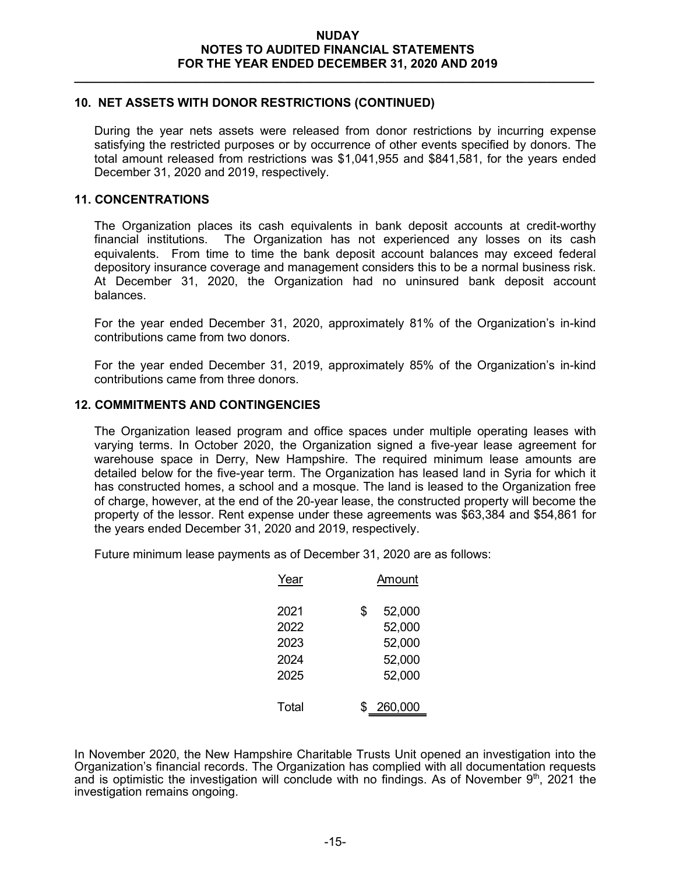**\_\_\_\_\_\_\_\_\_\_\_\_\_\_\_\_\_\_\_\_\_\_\_\_\_\_\_\_\_\_\_\_\_\_\_\_\_\_\_\_\_\_\_\_\_\_\_\_\_\_\_\_\_\_\_\_\_\_\_\_\_\_\_\_\_\_\_\_\_\_\_\_\_\_\_\_\_**

### **10. NET ASSETS WITH DONOR RESTRICTIONS (CONTINUED)**

During the year nets assets were released from donor restrictions by incurring expense satisfying the restricted purposes or by occurrence of other events specified by donors. The total amount released from restrictions was \$1,041,955 and \$841,581, for the years ended December 31, 2020 and 2019, respectively.

### **11. CONCENTRATIONS**

The Organization places its cash equivalents in bank deposit accounts at credit-worthy financial institutions. The Organization has not experienced any losses on its cash equivalents. From time to time the bank deposit account balances may exceed federal depository insurance coverage and management considers this to be a normal business risk. At December 31, 2020, the Organization had no uninsured bank deposit account balances.

For the year ended December 31, 2020, approximately 81% of the Organization's in-kind contributions came from two donors.

For the year ended December 31, 2019, approximately 85% of the Organization's in-kind contributions came from three donors.

#### **12. COMMITMENTS AND CONTINGENCIES**

The Organization leased program and office spaces under multiple operating leases with varying terms. In October 2020, the Organization signed a five-year lease agreement for warehouse space in Derry, New Hampshire. The required minimum lease amounts are detailed below for the five-year term. The Organization has leased land in Syria for which it has constructed homes, a school and a mosque. The land is leased to the Organization free of charge, however, at the end of the 20-year lease, the constructed property will become the property of the lessor. Rent expense under these agreements was \$63,384 and \$54,861 for the years ended December 31, 2020 and 2019, respectively.

Future minimum lease payments as of December 31, 2020 are as follows:

| Year  | Amount       |
|-------|--------------|
| 2021  | \$<br>52,000 |
| 2022  | 52,000       |
| 2023  | 52,000       |
| 2024  | 52,000       |
| 2025  | 52,000       |
|       |              |
| Total | 260,000      |

In November 2020, the New Hampshire Charitable Trusts Unit opened an investigation into the Organization's financial records. The Organization has complied with all documentation requests and is optimistic the investigation will conclude with no findings. As of November  $9<sup>th</sup>$ , 2021 the investigation remains ongoing.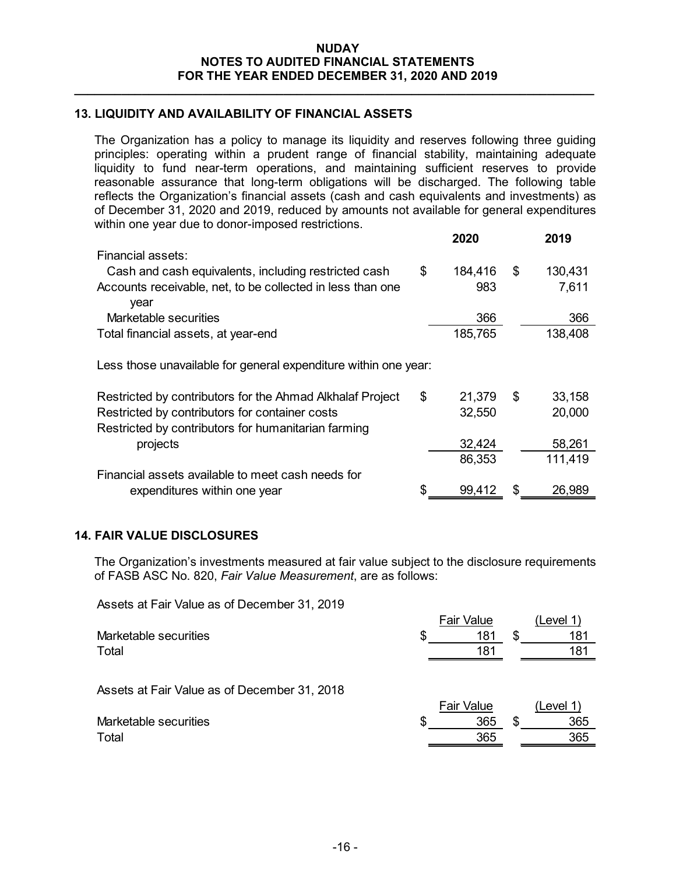**\_\_\_\_\_\_\_\_\_\_\_\_\_\_\_\_\_\_\_\_\_\_\_\_\_\_\_\_\_\_\_\_\_\_\_\_\_\_\_\_\_\_\_\_\_\_\_\_\_\_\_\_\_\_\_\_\_\_\_\_\_\_\_\_\_\_\_\_\_\_\_\_\_\_\_\_\_**

### **13. LIQUIDITY AND AVAILABILITY OF FINANCIAL ASSETS**

The Organization has a policy to manage its liquidity and reserves following three guiding principles: operating within a prudent range of financial stability, maintaining adequate liquidity to fund near-term operations, and maintaining sufficient reserves to provide reasonable assurance that long-term obligations will be discharged. The following table reflects the Organization's financial assets (cash and cash equivalents and investments) as of December 31, 2020 and 2019, reduced by amounts not available for general expenditures within one year due to donor-imposed restrictions.

|                                                                                                       |    | 2020    |    | 2019    |  |  |
|-------------------------------------------------------------------------------------------------------|----|---------|----|---------|--|--|
| Financial assets:                                                                                     |    |         |    |         |  |  |
| Cash and cash equivalents, including restricted cash                                                  | \$ | 184,416 | \$ | 130,431 |  |  |
| Accounts receivable, net, to be collected in less than one<br>year                                    |    | 983     |    | 7,611   |  |  |
| Marketable securities                                                                                 |    | 366     |    | 366     |  |  |
| Total financial assets, at year-end                                                                   |    | 185,765 |    | 138,408 |  |  |
| Less those unavailable for general expenditure within one year:                                       |    |         |    |         |  |  |
| Restricted by contributors for the Ahmad Alkhalaf Project                                             | \$ | 21,379  | \$ | 33,158  |  |  |
| Restricted by contributors for container costs<br>Restricted by contributors for humanitarian farming |    | 32,550  |    | 20,000  |  |  |
| projects                                                                                              |    | 32,424  |    | 58,261  |  |  |
|                                                                                                       |    | 86,353  |    | 111,419 |  |  |
| Financial assets available to meet cash needs for                                                     |    |         |    |         |  |  |
| expenditures within one year                                                                          |    | 99,412  |    | 26,989  |  |  |

### **14. FAIR VALUE DISCLOSURES**

The Organization's investments measured at fair value subject to the disclosure requirements of FASB ASC No. 820, *Fair Value Measurement*, are as follows:

Assets at Fair Value as of December 31, 2019

| Marketable securities<br>Total               | S | <b>Fair Value</b><br>181<br>181 | S | (Level 1)<br>181<br>181 |
|----------------------------------------------|---|---------------------------------|---|-------------------------|
| Assets at Fair Value as of December 31, 2018 |   |                                 |   |                         |
|                                              |   | <b>Fair Value</b>               |   | (Level 1)               |
| Marketable securities                        |   | 365                             | S | 365                     |
| Total                                        |   | 365                             |   | 365                     |